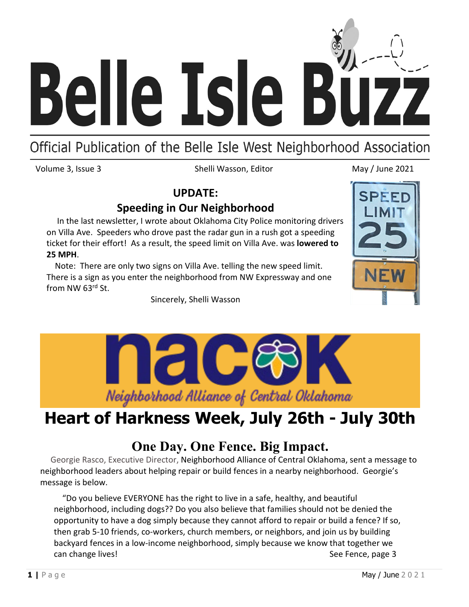

# Official Publication of the Belle Isle West Neighborhood Association

Volume 3, Issue 3 Shelli Wasson, Editor May / June 2021

#### **UPDATE:**

### **Speeding in Our Neighborhood**

 In the last newsletter, I wrote about Oklahoma City Police monitoring drivers on Villa Ave. Speeders who drove past the radar gun in a rush got a speeding ticket for their effort! As a result, the speed limit on Villa Ave. was **lowered to 25 MPH**.

 Note: There are only two signs on Villa Ave. telling the new speed limit. There is a sign as you enter the neighborhood from NW Expressway and one from NW 63rd St.

Sincerely, Shelli Wasson





# **Heart of Harkness Week, July 26th - July 30th**

### **One Day. One Fence. Big Impact.**

 Georgie Rasco, Executive Director, Neighborhood Alliance of Central Oklahoma, sent a message to neighborhood leaders about helping repair or build fences in a nearby neighborhood. Georgie's message is below.

 "Do you believe EVERYONE has the right to live in a safe, healthy, and beautiful neighborhood, including dogs?? Do you also believe that families should not be denied the opportunity to have a dog simply because they cannot afford to repair or build a fence? If so, then grab 5-10 friends, co-workers, church members, or neighbors, and join us by building backyard fences in a low-income neighborhood, simply because we know that together we can change lives! See Fence, page 3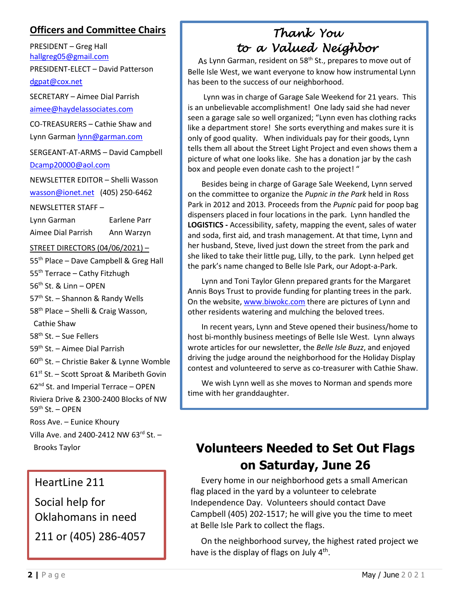#### **Officers and Committee Chairs**

PRESIDENT – Greg Hall [hallgreg05@gmail.com](mailto:hallgreg05@gmail.com) PRESIDENT-ELECT – David Patterson [dgpat@cox.net](mailto:dgpat@cox.net)

SECRETARY – Aimee Dial Parrish [aimee@haydelassociates.com](mailto:aimee@haydelassociates.com)

CO-TREASURERS – Cathie Shaw and Lynn Garman [lynn@garman.com](mailto:lynn@garman.com)

SERGEANT-AT-ARMS – David Campbell [Dcamp20000@aol.com](mailto:Dcamp20000@aol.com)

NEWSLETTER EDITOR – Shelli Wasson [wasson@ionet.net](mailto:wasson@ionet.net) (405) 250-6462

NEWSLETTER STAFF –

| Lynn Garman        | Earlene Parr |
|--------------------|--------------|
| Aimee Dial Parrish | Ann Warzyn   |

STREET DIRECTORS (04/06/2021) –

55<sup>th</sup> Place – Dave Campbell & Greg Hall 55<sup>th</sup> Terrace – Cathy Fitzhugh 56th St. & Linn – OPEN 57<sup>th</sup> St. - Shannon & Randy Wells 58<sup>th</sup> Place – Shelli & Craig Wasson, Cathie Shaw 58<sup>th</sup> St. – Sue Fellers 59th St. – Aimee Dial Parrish 60th St. – Christie Baker & Lynne Womble 61<sup>st</sup> St. - Scott Sproat & Maribeth Govin  $62<sup>nd</sup>$  St. and Imperial Terrace – OPEN Riviera Drive & 2300-2400 Blocks of NW  $59<sup>th</sup>$  St. – OPEN Ross Ave. – Eunice Khoury Villa Ave. and 2400-2412 NW 63rd St. -Brooks Taylor

HeartLine 211 Social help for Oklahomans in need 211 or (405) 286-4057

### *Thank You to a Valued Neighbor*

Belle Isle West, we want everyone to know how instrumental Lynn As Lynn Garman, resident on 58<sup>th</sup> St., prepares to move out of has been to the success of our neighborhood.

Lynn was in charge of Garage Sale Weekend for 21 years. This is an unbelievable accomplishment! One lady said she had never seen a garage sale so well organized; "Lynn even has clothing racks like a department store! She sorts everything and makes sure it is only of good quality. When individuals pay for their goods, Lynn tells them all about the Street Light Project and even shows them a picture of what one looks like. She has a donation jar by the cash box and people even donate cash to the project! "

Besides being in charge of Garage Sale Weekend, Lynn served on the committee to organize the *Pupnic in the Park* held in Ross Park in 2012 and 2013*.* Proceeds from the *Pupnic* paid for poop bag dispensers placed in four locations in the park. Lynn handled the **LOGISTICS -** Accessibility, safety, mapping the event, sales of water and soda, first aid, and trash management. At that time, Lynn and her husband, Steve, lived just down the street from the park and she liked to take their little pug, Lilly, to the park. Lynn helped get the park's name changed to Belle Isle Park, our Adopt-a-Park.

Lynn and Toni Taylor Glenn prepared grants for the Margaret Annis Boys Trust to provide funding for planting trees in the park. On the website[, www.biwokc.com](http://www.biwokc.com/) there are pictures of Lynn and other residents watering and mulching the beloved trees.

In recent years, Lynn and Steve opened their business/home to host bi-monthly business meetings of Belle Isle West. Lynn always wrote articles for our newsletter, the *Belle Isle Buzz*, and enjoyed driving the judge around the neighborhood for the Holiday Display contest and volunteered to serve as co-treasurer with Cathie Shaw.

We wish Lynn well as she moves to Norman and spends more time with her granddaughter.

## **Volunteers Needed to Set Out Flags on Saturday, June 26**

 Every home in our neighborhood gets a small American flag placed in the yard by a volunteer to celebrate Independence Day. Volunteers should contact Dave Campbell (405) 202-1517; he will give you the time to meet at Belle Isle Park to collect the flags.

 On the neighborhood survey, the highest rated project we have is the display of flags on July  $4<sup>th</sup>$ .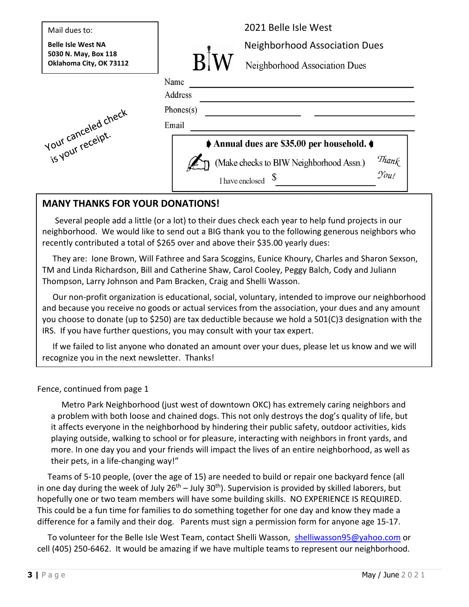

#### **MANY THANKS FOR YOUR DONATIONS!**

 Several people add a little (or a lot) to their dues check each year to help fund projects in our neighborhood. We would like to send out a BIG thank you to the following generous neighbors who recently contributed a total of \$265 over and above their \$35.00 yearly dues:

 They are: Ione Brown, Will Fathree and Sara Scoggins, Eunice Khoury, Charles and Sharon Sexson, TM and Linda Richardson, Bill and Catherine Shaw, Carol Cooley, Peggy Balch, Cody and Juliann Thompson, Larry Johnson and Pam Bracken, Craig and Shelli Wasson.

 Our non-profit organization is educational, social, voluntary, intended to improve our neighborhood and because you receive no goods or actual services from the association, your dues and any amount you choose to donate (up to \$250) are tax deductible because we hold a 501(C)3 designation with the IRS. If you have further questions, you may consult with your tax expert.

 If we failed to list anyone who donated an amount over your dues, please let us know and we will recognize you in the next newsletter. Thanks!

Fence, continued from page 1

 Metro Park Neighborhood (just west of downtown OKC) has extremely caring neighbors and a problem with both loose and chained dogs. This not only destroys the dog's quality of life, but it affects everyone in the neighborhood by hindering their public safety, outdoor activities, kids playing outside, walking to school or for pleasure, interacting with neighbors in front yards, and more. In one day you and your friends will impact the lives of an entire neighborhood, as well as their pets, in a life-changing way!"

 Teams of 5-10 people, (over the age of 15) are needed to build or repair one backyard fence (all in one day during the week of July  $26<sup>th</sup> - July 30<sup>th</sup>$ ). Supervision is provided by skilled laborers, but hopefully one or two team members will have some building skills. NO EXPERIENCE IS REQUIRED. This could be a fun time for families to do something together for one day and know they made a difference for a family and their dog. Parents must sign a permission form for anyone age 15-17.

 To volunteer for the Belle Isle West Team, contact Shelli Wasson, [shelliwasson95@yahoo.com](mailto:shelliwasson95@yahoo.com) or cell (405) 250-6462. It would be amazing if we have multiple teams to represent our neighborhood.